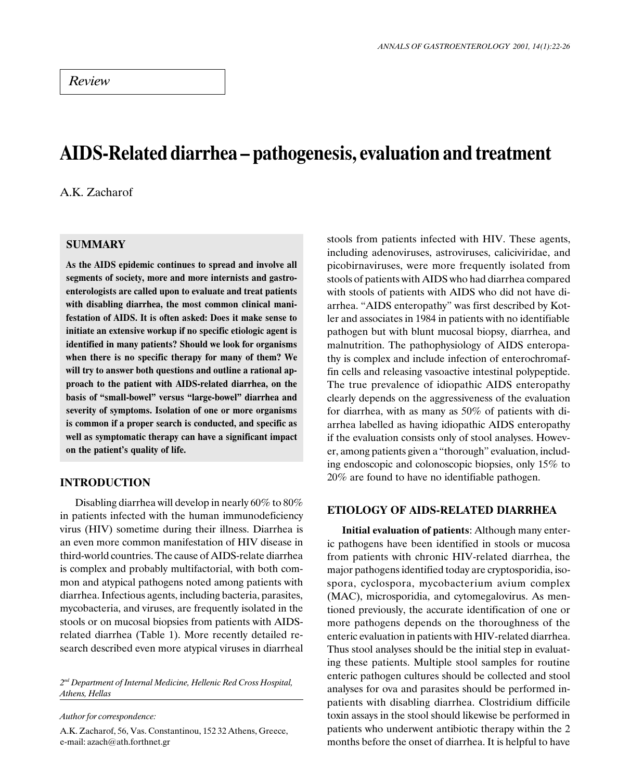# AIDS-Related diarrhea - pathogenesis, evaluation and treatment

A.K. Zacharof

# **SUMMARY**

As the AIDS epidemic continues to spread and involve all segments of society, more and more internists and gastroenterologists are called upon to evaluate and treat patients with disabling diarrhea, the most common clinical manifestation of AIDS. It is often asked: Does it make sense to initiate an extensive workup if no specific etiologic agent is identified in many patients? Should we look for organisms when there is no specific therapy for many of them? We will try to answer both questions and outline a rational approach to the patient with AIDS-related diarrhea, on the basis of "small-bowel" versus "large-bowel" diarrhea and severity of symptoms. Isolation of one or more organisms is common if a proper search is conducted, and specific as well as symptomatic therapy can have a significant impact on the patient's quality of life.

# INTRODUCTION

Disabling diarrhea will develop in nearly 60% to 80% in patients infected with the human immunodeficiency virus (HIV) sometime during their illness. Diarrhea is an even more common manifestation of HIV disease in third-world countries. The cause of AIDS-relate diarrhea is complex and probably multifactorial, with both common and atypical pathogens noted among patients with diarrhea. Infectious agents, including bacteria, parasites, mycobacteria, and viruses, are frequently isolated in the stools or on mucosal biopsies from patients with AIDSrelated diarrhea (Table 1). More recently detailed research described even more atypical viruses in diarrheal

 $2<sup>nd</sup> Department of Internal Medicine, Hellenic Red Cross Hospital,$ Athens, Hellas

Author for correspondence:

A.K. Zacharof, 56, Vas. Constantinou, 152 32 Athens, Greece, e-mail: azach@ath.forthnet.gr

stools from patients infected with HIV. These agents, including adenoviruses, astroviruses, caliciviridae, and picobirnaviruses, were more frequently isolated from stools of patients with AIDS who had diarrhea compared with stools of patients with AIDS who did not have diarrhea. "AIDS enteropathy" was first described by Kotler and associates in 1984 in patients with no identifiable pathogen but with blunt mucosal biopsy, diarrhea, and malnutrition. The pathophysiology of AIDS enteropathy is complex and include infection of enterochromaffin cells and releasing vasoactive intestinal polypeptide. The true prevalence of idiopathic AIDS enteropathy clearly depends on the aggressiveness of the evaluation for diarrhea, with as many as 50% of patients with diarrhea labelled as having idiopathic AIDS enteropathy if the evaluation consists only of stool analyses. However, among patients given a "thorough" evaluation, including endoscopic and colonoscopic biopsies, only 15% to 20% are found to have no identifiable pathogen.

## ETIOLOGY OF AIDS-RELATED DIARRHEA

Initial evaluation of patients: Although many enteric pathogens have been identified in stools or mucosa from patients with chronic HIV-related diarrhea, the major pathogens identified today are cryptosporidia, isospora, cyclospora, mycobacterium avium complex (MAC), microsporidia, and cytomegalovirus. As mentioned previously, the accurate identification of one or more pathogens depends on the thoroughness of the enteric evaluation in patients with HIV-related diarrhea. Thus stool analyses should be the initial step in evaluating these patients. Multiple stool samples for routine enteric pathogen cultures should be collected and stool analyses for ova and parasites should be performed inpatients with disabling diarrhea. Clostridium difficile toxin assays in the stool should likewise be performed in patients who underwent antibiotic therapy within the 2 months before the onset of diarrhea. It is helpful to have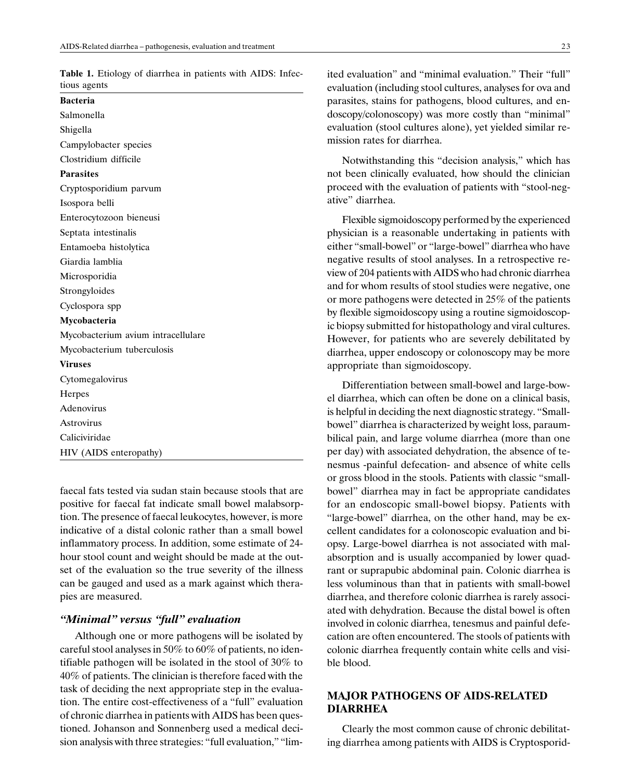Table 1. Etiology of diarrhea in patients with AIDS: Infectious agents

Bacteria Salmonella Shigella Campylobacter species Clostridium difficile Parasites Cryptosporidium parvum Isospora belli Enterocytozoon bieneusi Septata intestinalis Entamoeba histolytica Giardia lamblia Microsporidia Strongyloides Cyclospora spp Mycobacteria Mycobacterium avium intracellulare Mycobacterium tuberculosis Viruses Cytomegalovirus Herpes Adenovirus Astrovirus Caliciviridae HIV (AIDS enteropathy)

faecal fats tested via sudan stain because stools that are positive for faecal fat indicate small bowel malabsorption. The presence of faecal leukocytes, however, is more indicative of a distal colonic rather than a small bowel inflammatory process. In addition, some estimate of 24 hour stool count and weight should be made at the outset of the evaluation so the true severity of the illness can be gauged and used as a mark against which therapies are measured.

#### "Minimal" versus "full" evaluation

Although one or more pathogens will be isolated by careful stool analyses in 50% to 60% of patients, no identifiable pathogen will be isolated in the stool of 30% to 40% of patients. The clinician is therefore faced with the task of deciding the next appropriate step in the evaluation. The entire cost-effectiveness of a "full" evaluation of chronic diarrhea in patients with AIDS has been questioned. Johanson and Sonnenberg used a medical decision analysis with three strategies: "full evaluation," "limited evaluation" and "minimal evaluation." Their "full" evaluation (including stool cultures, analyses for ova and parasites, stains for pathogens, blood cultures, and endoscopy/colonoscopy) was more costly than "minimal" evaluation (stool cultures alone), yet yielded similar remission rates for diarrhea.

Notwithstanding this "decision analysis," which has not been clinically evaluated, how should the clinician proceed with the evaluation of patients with "stool-negative" diarrhea.

Flexible sigmoidoscopy performed by the experienced physician is a reasonable undertaking in patients with either "small-bowel" or "large-bowel" diarrhea who have negative results of stool analyses. In a retrospective review of 204 patients with AIDS who had chronic diarrhea and for whom results of stool studies were negative, one or more pathogens were detected in 25% of the patients by flexible sigmoidoscopy using a routine sigmoidoscopic biopsy submitted for histopathology and viral cultures. However, for patients who are severely debilitated by diarrhea, upper endoscopy or colonoscopy may be more appropriate than sigmoidoscopy.

Differentiation between small-bowel and large-bowel diarrhea, which can often be done on a clinical basis, is helpful in deciding the next diagnostic strategy. "Smallbowel" diarrhea is characterized by weight loss, paraumbilical pain, and large volume diarrhea (more than one per day) with associated dehydration, the absence of tenesmus -painful defecation- and absence of white cells or gross blood in the stools. Patients with classic "smallbowel" diarrhea may in fact be appropriate candidates for an endoscopic small-bowel biopsy. Patients with "large-bowel" diarrhea, on the other hand, may be excellent candidates for a colonoscopic evaluation and biopsy. Large-bowel diarrhea is not associated with malabsorption and is usually accompanied by lower quadrant or suprapubic abdominal pain. Colonic diarrhea is less voluminous than that in patients with small-bowel diarrhea, and therefore colonic diarrhea is rarely associated with dehydration. Because the distal bowel is often involved in colonic diarrhea, tenesmus and painful defecation are often encountered. The stools of patients with colonic diarrhea frequently contain white cells and visible blood.

# MAJOR PATHOGENS OF AIDS-RELATED DIARRHEA

Clearly the most common cause of chronic debilitating diarrhea among patients with AIDS is Cryptosporid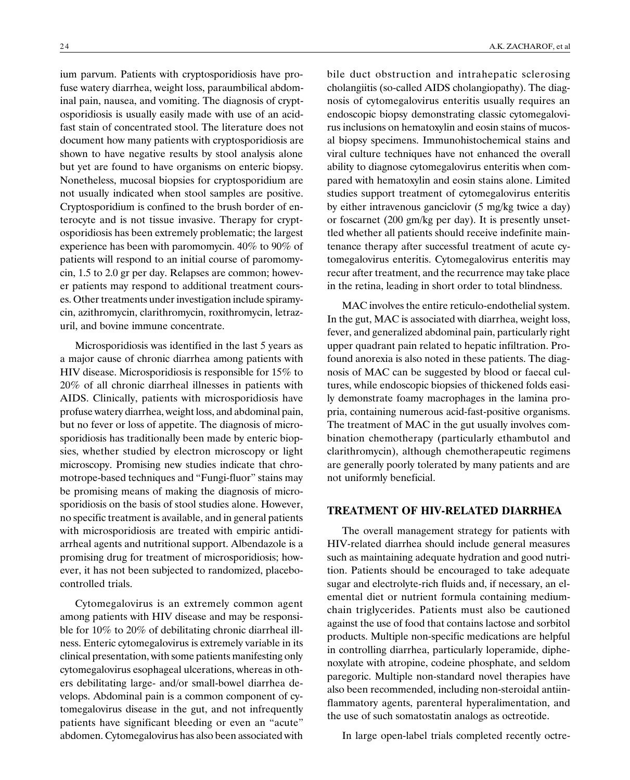ium parvum. Patients with cryptosporidiosis have profuse watery diarrhea, weight loss, paraumbilical abdominal pain, nausea, and vomiting. The diagnosis of cryptosporidiosis is usually easily made with use of an acidfast stain of concentrated stool. The literature does not document how many patients with cryptosporidiosis are shown to have negative results by stool analysis alone but yet are found to have organisms on enteric biopsy. Nonetheless, mucosal biopsies for cryptosporidium are not usually indicated when stool samples are positive. Cryptosporidium is confined to the brush border of enterocyte and is not tissue invasive. Therapy for cryptosporidiosis has been extremely problematic; the largest experience has been with paromomycin. 40% to 90% of patients will respond to an initial course of paromomycin, 1.5 to 2.0 gr per day. Relapses are common; however patients may respond to additional treatment courses. Other treatments under investigation include spiramycin, azithromycin, clarithromycin, roxithromycin, letrazuril, and bovine immune concentrate.

Microsporidiosis was identified in the last 5 years as a major cause of chronic diarrhea among patients with HIV disease. Microsporidiosis is responsible for 15% to 20% of all chronic diarrheal illnesses in patients with AIDS. Clinically, patients with microsporidiosis have profuse watery diarrhea, weight loss, and abdominal pain, but no fever or loss of appetite. The diagnosis of microsporidiosis has traditionally been made by enteric biopsies, whether studied by electron microscopy or light microscopy. Promising new studies indicate that chromotrope-based techniques and "Fungi-fluor" stains may be promising means of making the diagnosis of microsporidiosis on the basis of stool studies alone. However, no specific treatment is available, and in general patients with microsporidiosis are treated with empiric antidiarrheal agents and nutritional support. Albendazole is a promising drug for treatment of microsporidiosis; however, it has not been subjected to randomized, placebocontrolled trials.

Cytomegalovirus is an extremely common agent among patients with HIV disease and may be responsible for 10% to 20% of debilitating chronic diarrheal illness. Enteric cytomegalovirus is extremely variable in its clinical presentation, with some patients manifesting only cytomegalovirus esophageal ulcerations, whereas in others debilitating large- and/or small-bowel diarrhea develops. Abdominal pain is a common component of cytomegalovirus disease in the gut, and not infrequently patients have significant bleeding or even an "acute" abdomen. Cytomegalovirus has also been associated with bile duct obstruction and intrahepatic sclerosing cholangiitis (so-called AIDS cholangiopathy). The diagnosis of cytomegalovirus enteritis usually requires an endoscopic biopsy demonstrating classic cytomegalovirus inclusions on hematoxylin and eosin stains of mucosal biopsy specimens. Immunohistochemical stains and viral culture techniques have not enhanced the overall ability to diagnose cytomegalovirus enteritis when compared with hematoxylin and eosin stains alone. Limited studies support treatment of cytomegalovirus enteritis by either intravenous ganciclovir (5 mg/kg twice a day) or foscarnet (200 gm/kg per day). It is presently unsettled whether all patients should receive indefinite maintenance therapy after successful treatment of acute cytomegalovirus enteritis. Cytomegalovirus enteritis may recur after treatment, and the recurrence may take place in the retina, leading in short order to total blindness.

MAC involves the entire reticulo-endothelial system. In the gut, MAC is associated with diarrhea, weight loss, fever, and generalized abdominal pain, particularly right upper quadrant pain related to hepatic infiltration. Profound anorexia is also noted in these patients. The diagnosis of MAC can be suggested by blood or faecal cultures, while endoscopic biopsies of thickened folds easily demonstrate foamy macrophages in the lamina propria, containing numerous acid-fast-positive organisms. The treatment of MAC in the gut usually involves combination chemotherapy (particularly ethambutol and clarithromycin), although chemotherapeutic regimens are generally poorly tolerated by many patients and are not uniformly beneficial.

## TREATMENT OF HIV-RELATED DIARRHEA

The overall management strategy for patients with HIV-related diarrhea should include general measures such as maintaining adequate hydration and good nutrition. Patients should be encouraged to take adequate sugar and electrolyte-rich fluids and, if necessary, an elemental diet or nutrient formula containing mediumchain triglycerides. Patients must also be cautioned against the use of food that contains lactose and sorbitol products. Multiple non-specific medications are helpful in controlling diarrhea, particularly loperamide, diphenoxylate with atropine, codeine phosphate, and seldom paregoric. Multiple non-standard novel therapies have also been recommended, including non-steroidal antiinflammatory agents, parenteral hyperalimentation, and the use of such somatostatin analogs as octreotide.

In large open-label trials completed recently octre-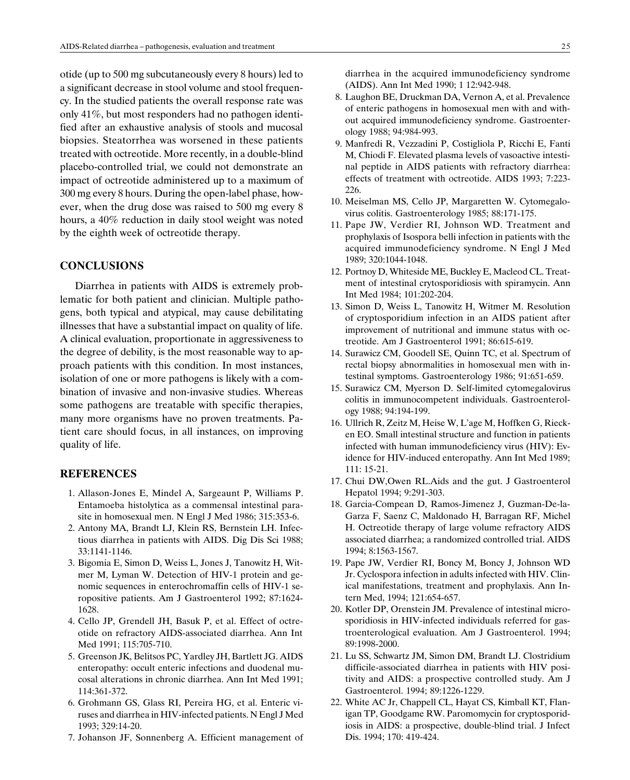otide (up to 500 mg subcutaneously every 8 hours) led to a significant decrease in stool volume and stool frequency. In the studied patients the overall response rate was only 41%, but most responders had no pathogen identified after an exhaustive analysis of stools and mucosal biopsies. Steatorrhea was worsened in these patients treated with octreotide. More recently, in a double-blind placebo-controlled trial, we could not demonstrate an impact of octreotide administered up to a maximum of 300 mg every 8 hours. During the open-label phase, however, when the drug dose was raised to 500 mg every 8 hours, a 40% reduction in daily stool weight was noted by the eighth week of octreotide therapy.

# **CONCLUSIONS**

Diarrhea in patients with AIDS is extremely problematic for both patient and clinician. Multiple pathogens, both typical and atypical, may cause debilitating illnesses that have a substantial impact on quality of life. A clinical evaluation, proportionate in aggressiveness to the degree of debility, is the most reasonable way to approach patients with this condition. In most instances, isolation of one or more pathogens is likely with a combination of invasive and non-invasive studies. Whereas some pathogens are treatable with specific therapies, many more organisms have no proven treatments. Patient care should focus, in all instances, on improving quality of life.

#### REFERENCES

- 1. Allason-Jones E, Mindel A, Sargeaunt P, Williams P. Entamoeba histolytica as a commensal intestinal parasite in homosexual men. N Engl J Med 1986; 315:353-6.
- 2. Antony MA, Brandt LJ, Klein RS, Bernstein LH. Infectious diarrhea in patients with AIDS. Dig Dis Sci 1988; 33:1141-1146.
- 3. Bigomia E, Simon D, Weiss L, Jones J, Tanowitz H, Witmer M, Lyman W. Detection of HIV-1 protein and genomic sequences in enterochromaffin cells of HIV-1 seropositive patients. Am J Gastroenterol 1992; 87:1624- 1628.
- 4. Cello JP, Grendell JH, Basuk P, et al. Effect of octreotide on refractory AIDS-associated diarrhea. Ann Int Med 1991; 115:705-710.
- 5. Greenson JK, Belitsos PC, Yardley JH, Bartlett JG. AIDS enteropathy: occult enteric infections and duodenal mucosal alterations in chronic diarrhea. Ann Int Med 1991; 114:361-372.
- 6. Grohmann GS, Glass RI, Pereira HG, et al. Enteric viruses and diarrhea in HIV-infected patients. N Engl J Med 1993; 329:14-20.
- 7. Johanson JF, Sonnenberg A. Efficient management of

diarrhea in the acquired immunodeficiency syndrome (AIDS). Ann Int Med 1990; 1 12:942-948.

- 8. Laughon BE, Druckman DA, Vernon A, et al. Prevalence of enteric pathogens in homosexual men with and without acquired immunodeficiency syndrome. Gastroenterology 1988; 94:984-993.
- 9. Manfredi R, Vezzadini P, Costigliola P, Ricchi E, Fanti M, Chiodi F. Elevated plasma levels of vasoactive intestinal peptide in AIDS patients with refractory diarrhea: effects of treatment with octreotide. AIDS 1993; 7:223- 226.
- 10. Meiselman MS, Cello JP, Margaretten W. Cytomegalovirus colitis. Gastroenterology 1985; 88:171-175.
- 11. Pape JW, Verdier RI, Johnson WD. Treatment and prophylaxis of Isospora belli infection in patients with the acquired immunodeficiency syndrome. N Engl J Med 1989; 320:1044-1048.
- 12. Portnoy D, Whiteside ME, Buckley E, Macleod CL. Treatment of intestinal crytosporidiosis with spiramycin. Ann Int Med 1984; 101:202-204.
- 13. Simon D, Weiss L, Tanowitz H, Witmer M. Resolution of cryptosporidium infection in an AIDS patient after improvement of nutritional and immune status with octreotide. Am J Gastroenterol 1991; 86:615-619.
- 14. Surawicz CM, Goodell SE, Quinn TC, et al. Spectrum of rectal biopsy abnormalities in homosexual men with intestinal symptoms. Gastroenterology 1986; 91:651-659.
- 15. Surawicz CM, Myerson D. Self-limited cytomegalovirus colitis in immunocompetent individuals. Gastroenterology 1988; 94:194-199.
- 16. Ullrich R, Zeitz M, Heise W, L'age M, Hoffken G, Riecken EO. Small intestinal structure and function in patients infected with human immunodeficiency virus (HIV): Evidence for HIV-induced enteropathy. Ann Int Med 1989; 111: 15-21.
- 17. Chui DW,Owen RL.Aids and the gut. J Gastroenterol Hepatol 1994; 9:291-303.
- 18. Garcia-Compean D, Ramos-Jimenez J, Guzman-De-la-Garza F, Saenz C, Maldonado H, Barragan RF, Michel H. Octreotide therapy of large volume refractory AIDS associated diarrhea; a randomized controlled trial. AIDS 1994; 8:1563-1567.
- 19. Pape JW, Verdier RI, Boncy M, Boncy J, Johnson WD Jr. Cyclospora infection in adults infected with HIV. Clinical manifestations, treatment and prophylaxis. Ann Intern Med, 1994; 121:654-657.
- 20. Kotler DP, Orenstein JM. Prevalence of intestinal microsporidiosis in HIV-infected individuals referred for gastroenterological evaluation. Am J Gastroenterol. 1994; 89:1998-2000.
- 21. Lu SS, Schwartz JM, Simon DM, Brandt LJ. Clostridium difficile-associated diarrhea in patients with HIV positivity and AIDS: a prospective controlled study. Am J Gastroenterol. 1994; 89:1226-1229.
- 22. White AC Jr, Chappell CL, Hayat CS, Kimball KT, Flanigan TP, Goodgame RW. Paromomycin for cryptosporidiosis in AIDS: a prospective, double-blind trial. J Infect Dis. 1994; 170: 419-424.